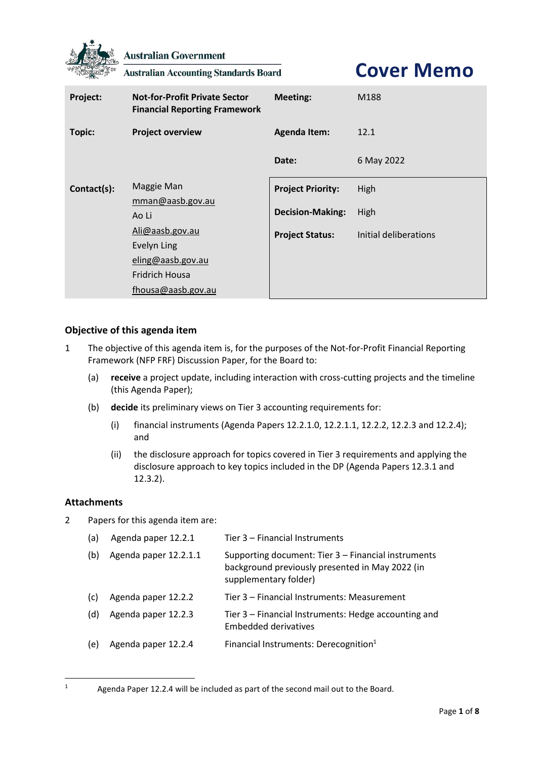

**Australian Government** 

**Australian Accounting Standards Board** 

**Cover Memo**

| Project:      | <b>Not-for-Profit Private Sector</b><br><b>Financial Reporting Framework</b> | <b>Meeting:</b>          | M188                  |
|---------------|------------------------------------------------------------------------------|--------------------------|-----------------------|
| <b>Topic:</b> | <b>Project overview</b>                                                      | <b>Agenda Item:</b>      | 12.1                  |
|               |                                                                              | Date:                    | 6 May 2022            |
| Contact(s):   | Maggie Man                                                                   | <b>Project Priority:</b> | High                  |
|               | mman@aasb.gov.au                                                             |                          |                       |
|               | Ao Li                                                                        | <b>Decision-Making:</b>  | High                  |
|               | Ali@aasb.gov.au                                                              | <b>Project Status:</b>   | Initial deliberations |
|               | Evelyn Ling                                                                  |                          |                       |
|               | eling@aasb.gov.au                                                            |                          |                       |
|               | <b>Fridrich Housa</b>                                                        |                          |                       |
|               | fhousa@aasb.gov.au                                                           |                          |                       |

## **Objective of this agenda item**

- 1 The objective of this agenda item is, for the purposes of the Not-for-Profit Financial Reporting Framework (NFP FRF) Discussion Paper, for the Board to:
	- (a) **receive** a project update, including interaction with cross-cutting projects and the timeline (this Agenda Paper);
	- (b) **decide** its preliminary views on Tier 3 accounting requirements for:
		- (i) financial instruments (Agenda Papers 12.2.1.0, 12.2.1.1, 12.2.2, 12.2.3 and 12.2.4); and
		- (ii) the disclosure approach for topics covered in Tier 3 requirements and applying the disclosure approach to key topics included in the DP (Agenda Papers 12.3.1 and 12.3.2).

### **Attachments**

2 Papers for this agenda item are:

| (a) | Agenda paper 12.2.1   | Tier 3 - Financial Instruments                                                                                                  |
|-----|-----------------------|---------------------------------------------------------------------------------------------------------------------------------|
| (b) | Agenda paper 12.2.1.1 | Supporting document: Tier 3 - Financial instruments<br>background previously presented in May 2022 (in<br>supplementary folder) |
| (c) | Agenda paper 12.2.2   | Tier 3 – Financial Instruments: Measurement                                                                                     |
| (d) | Agenda paper 12.2.3   | Tier 3 – Financial Instruments: Hedge accounting and<br>Embedded derivatives                                                    |
| (e) | Agenda paper 12.2.4   | Financial Instruments: Derecognition <sup>1</sup>                                                                               |

<sup>&</sup>lt;sup>1</sup> Agenda Paper 12.2.4 will be included as part of the second mail out to the Board.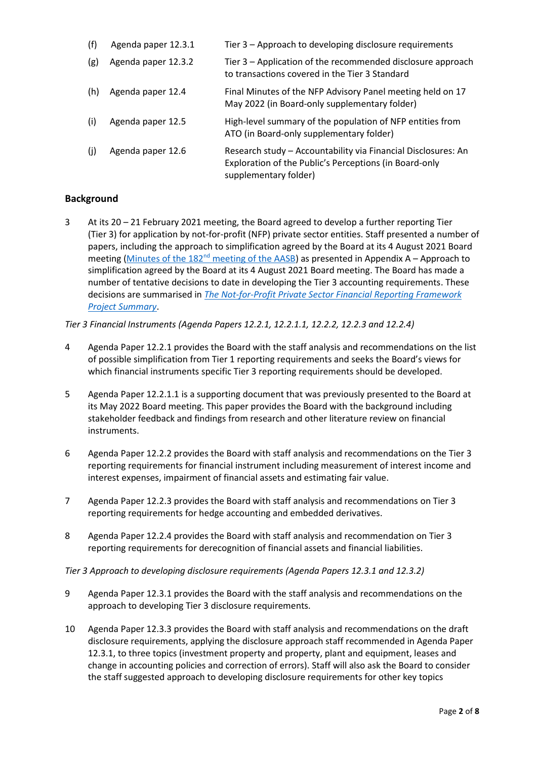| (f) | Agenda paper 12.3.1 | Tier 3 - Approach to developing disclosure requirements                                                                                          |
|-----|---------------------|--------------------------------------------------------------------------------------------------------------------------------------------------|
| (g) | Agenda paper 12.3.2 | Tier 3 – Application of the recommended disclosure approach<br>to transactions covered in the Tier 3 Standard                                    |
| (h) | Agenda paper 12.4   | Final Minutes of the NFP Advisory Panel meeting held on 17<br>May 2022 (in Board-only supplementary folder)                                      |
| (i) | Agenda paper 12.5   | High-level summary of the population of NFP entities from<br>ATO (in Board-only supplementary folder)                                            |
| (i) | Agenda paper 12.6   | Research study - Accountability via Financial Disclosures: An<br>Exploration of the Public's Perceptions (in Board-only<br>supplementary folder) |

# **Background**

3 At its 20 – 21 February 2021 meeting, the Board agreed to develop a further reporting Tier (Tier 3) for application by not-for-profit (NFP) private sector entities. Staff presented a number of papers, including the approach to simplification agreed by the Board at its 4 August 2021 Board meeting (Minutes of the 182<sup>nd</sup> [meeting of the AASB\)](https://aasb.gov.au/media/fsblvmin/aasbapprovedminutesm182_4aug21.pdf) as presented in [Appendix A](#page-7-0) – Approach to simplification agreed by the Board at its 4 August 2021 Board meeting. The Board has made a number of tentative decisions to date in developing the Tier 3 accounting requirements. These decisions are summarised in *[The Not-for-Profit Private Sector Financial Reporting Framework](https://aasb.gov.au/media/q5tnhuqy/ps_afr-nfp_03-01.pdf)  [Project Summary](https://aasb.gov.au/media/q5tnhuqy/ps_afr-nfp_03-01.pdf)*.

*Tier 3 Financial Instruments (Agenda Papers 12.2.1, 12.2.1.1, 12.2.2, 12.2.3 and 12.2.4)*

- 4 Agenda Paper 12.2.1 provides the Board with the staff analysis and recommendations on the list of possible simplification from Tier 1 reporting requirements and seeks the Board's views for which financial instruments specific Tier 3 reporting requirements should be developed.
- 5 Agenda Paper 12.2.1.1 is a supporting document that was previously presented to the Board at its May 2022 Board meeting. This paper provides the Board with the background including stakeholder feedback and findings from research and other literature review on financial instruments.
- 6 Agenda Paper 12.2.2 provides the Board with staff analysis and recommendations on the Tier 3 reporting requirements for financial instrument including measurement of interest income and interest expenses, impairment of financial assets and estimating fair value.
- 7 Agenda Paper 12.2.3 provides the Board with staff analysis and recommendations on Tier 3 reporting requirements for hedge accounting and embedded derivatives.
- 8 Agenda Paper 12.2.4 provides the Board with staff analysis and recommendation on Tier 3 reporting requirements for derecognition of financial assets and financial liabilities.

*Tier 3 Approach to developing disclosure requirements (Agenda Papers 12.3.1 and 12.3.2)*

- 9 Agenda Paper 12.3.1 provides the Board with the staff analysis and recommendations on the approach to developing Tier 3 disclosure requirements.
- 10 Agenda Paper 12.3.3 provides the Board with staff analysis and recommendations on the draft disclosure requirements, applying the disclosure approach staff recommended in Agenda Paper 12.3.1, to three topics (investment property and property, plant and equipment, leases and change in accounting policies and correction of errors). Staff will also ask the Board to consider the staff suggested approach to developing disclosure requirements for other key topics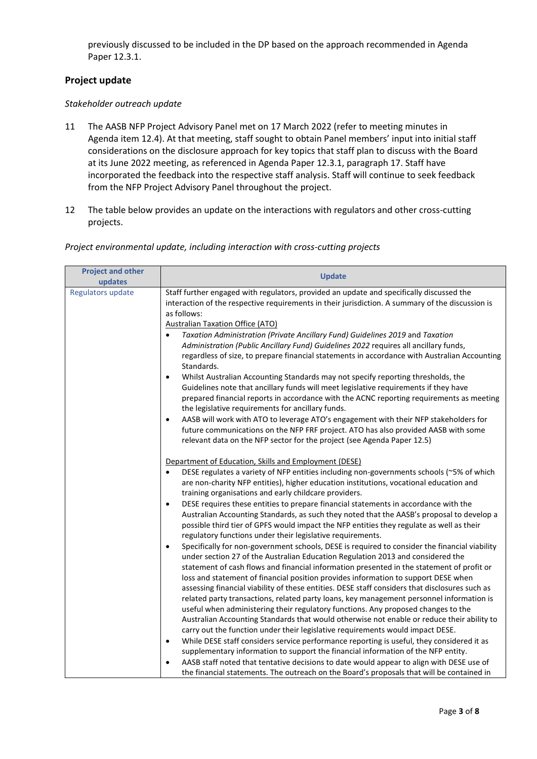previously discussed to be included in the DP based on the approach recommended in Agenda Paper 12.3.1.

## **Project update**

#### *Stakeholder outreach update*

- 11 The AASB NFP Project Advisory Panel met on 17 March 2022 (refer to meeting minutes in Agenda item 12.4). At that meeting, staff sought to obtain Panel members' input into initial staff considerations on the disclosure approach for key topics that staff plan to discuss with the Board at its June 2022 meeting, as referenced in Agenda Paper 12.3.1, paragraph 17. Staff have incorporated the feedback into the respective staff analysis. Staff will continue to seek feedback from the NFP Project Advisory Panel throughout the project.
- 12 The table below provides an update on the interactions with regulators and other cross-cutting projects.

| <b>Project and other</b><br>updates | <b>Update</b>                                                                                                                                                                                                                                                                                                                                                                                                                                                                      |
|-------------------------------------|------------------------------------------------------------------------------------------------------------------------------------------------------------------------------------------------------------------------------------------------------------------------------------------------------------------------------------------------------------------------------------------------------------------------------------------------------------------------------------|
| Regulators update                   | Staff further engaged with regulators, provided an update and specifically discussed the<br>interaction of the respective requirements in their jurisdiction. A summary of the discussion is<br>as follows:<br><b>Australian Taxation Office (ATO)</b><br>Taxation Administration (Private Ancillary Fund) Guidelines 2019 and Taxation<br>$\bullet$                                                                                                                               |
|                                     | Administration (Public Ancillary Fund) Guidelines 2022 requires all ancillary funds,<br>regardless of size, to prepare financial statements in accordance with Australian Accounting<br>Standards.                                                                                                                                                                                                                                                                                 |
|                                     | Whilst Australian Accounting Standards may not specify reporting thresholds, the<br>$\bullet$<br>Guidelines note that ancillary funds will meet legislative requirements if they have<br>prepared financial reports in accordance with the ACNC reporting requirements as meeting<br>the legislative requirements for ancillary funds.                                                                                                                                             |
|                                     | AASB will work with ATO to leverage ATO's engagement with their NFP stakeholders for<br>$\bullet$<br>future communications on the NFP FRF project. ATO has also provided AASB with some<br>relevant data on the NFP sector for the project (see Agenda Paper 12.5)                                                                                                                                                                                                                 |
|                                     | Department of Education, Skills and Employment (DESE)<br>DESE regulates a variety of NFP entities including non-governments schools (~5% of which<br>$\bullet$<br>are non-charity NFP entities), higher education institutions, vocational education and<br>training organisations and early childcare providers.                                                                                                                                                                  |
|                                     | DESE requires these entities to prepare financial statements in accordance with the<br>$\bullet$<br>Australian Accounting Standards, as such they noted that the AASB's proposal to develop a<br>possible third tier of GPFS would impact the NFP entities they regulate as well as their<br>regulatory functions under their legislative requirements.                                                                                                                            |
|                                     | Specifically for non-government schools, DESE is required to consider the financial viability<br>$\bullet$<br>under section 27 of the Australian Education Regulation 2013 and considered the<br>statement of cash flows and financial information presented in the statement of profit or<br>loss and statement of financial position provides information to support DESE when<br>assessing financial viability of these entities. DESE staff considers that disclosures such as |
|                                     | related party transactions, related party loans, key management personnel information is<br>useful when administering their regulatory functions. Any proposed changes to the<br>Australian Accounting Standards that would otherwise not enable or reduce their ability to<br>carry out the function under their legislative requirements would impact DESE.                                                                                                                      |
|                                     | While DESE staff considers service performance reporting is useful, they considered it as<br>$\bullet$<br>supplementary information to support the financial information of the NFP entity.<br>AASB staff noted that tentative decisions to date would appear to align with DESE use of<br>$\bullet$<br>the financial statements. The outreach on the Board's proposals that will be contained in                                                                                  |

#### *Project environmental update, including interaction with cross-cutting projects*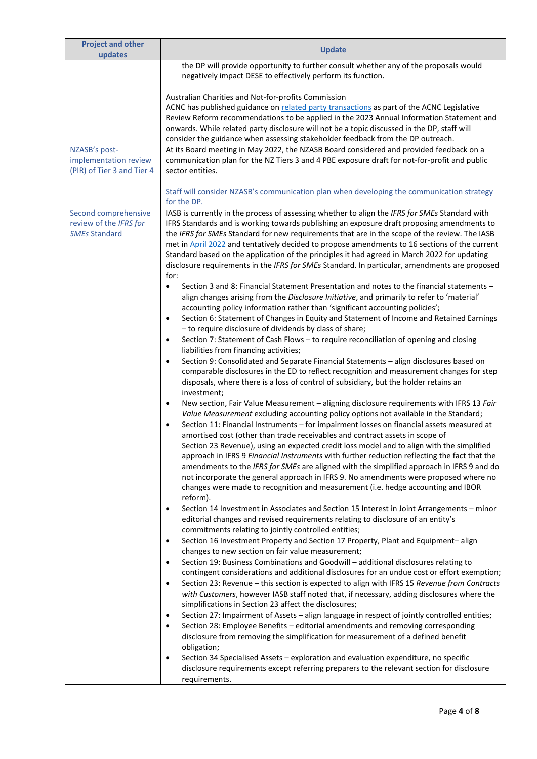| <b>Project and other</b>                       | <b>Update</b>                                                                                                                                                                                   |
|------------------------------------------------|-------------------------------------------------------------------------------------------------------------------------------------------------------------------------------------------------|
| updates                                        |                                                                                                                                                                                                 |
|                                                | the DP will provide opportunity to further consult whether any of the proposals would                                                                                                           |
|                                                | negatively impact DESE to effectively perform its function.                                                                                                                                     |
|                                                | <b>Australian Charities and Not-for-profits Commission</b>                                                                                                                                      |
|                                                | ACNC has published guidance on related party transactions as part of the ACNC Legislative                                                                                                       |
|                                                | Review Reform recommendations to be applied in the 2023 Annual Information Statement and                                                                                                        |
|                                                | onwards. While related party disclosure will not be a topic discussed in the DP, staff will                                                                                                     |
|                                                | consider the guidance when assessing stakeholder feedback from the DP outreach.                                                                                                                 |
| NZASB's post-                                  | At its Board meeting in May 2022, the NZASB Board considered and provided feedback on a                                                                                                         |
| implementation review                          | communication plan for the NZ Tiers 3 and 4 PBE exposure draft for not-for-profit and public                                                                                                    |
| (PIR) of Tier 3 and Tier 4                     | sector entities.                                                                                                                                                                                |
|                                                |                                                                                                                                                                                                 |
|                                                | Staff will consider NZASB's communication plan when developing the communication strategy                                                                                                       |
|                                                | for the DP.                                                                                                                                                                                     |
| Second comprehensive<br>review of the IFRS for | IASB is currently in the process of assessing whether to align the IFRS for SMEs Standard with                                                                                                  |
| <b>SMEs Standard</b>                           | IFRS Standards and is working towards publishing an exposure draft proposing amendments to<br>the IFRS for SMEs Standard for new requirements that are in the scope of the review. The IASB     |
|                                                | met in April 2022 and tentatively decided to propose amendments to 16 sections of the current                                                                                                   |
|                                                | Standard based on the application of the principles it had agreed in March 2022 for updating                                                                                                    |
|                                                | disclosure requirements in the IFRS for SMEs Standard. In particular, amendments are proposed                                                                                                   |
|                                                | for:                                                                                                                                                                                            |
|                                                | Section 3 and 8: Financial Statement Presentation and notes to the financial statements -<br>$\bullet$                                                                                          |
|                                                | align changes arising from the Disclosure Initiative, and primarily to refer to 'material'                                                                                                      |
|                                                | accounting policy information rather than 'significant accounting policies';                                                                                                                    |
|                                                | Section 6: Statement of Changes in Equity and Statement of Income and Retained Earnings<br>$\bullet$                                                                                            |
|                                                | - to require disclosure of dividends by class of share;                                                                                                                                         |
|                                                | Section 7: Statement of Cash Flows - to require reconciliation of opening and closing<br>$\bullet$<br>liabilities from financing activities;                                                    |
|                                                | Section 9: Consolidated and Separate Financial Statements - align disclosures based on<br>$\bullet$                                                                                             |
|                                                | comparable disclosures in the ED to reflect recognition and measurement changes for step                                                                                                        |
|                                                | disposals, where there is a loss of control of subsidiary, but the holder retains an                                                                                                            |
|                                                | investment;                                                                                                                                                                                     |
|                                                | New section, Fair Value Measurement - aligning disclosure requirements with IFRS 13 Fair<br>$\bullet$                                                                                           |
|                                                | Value Measurement excluding accounting policy options not available in the Standard;                                                                                                            |
|                                                | Section 11: Financial Instruments - for impairment losses on financial assets measured at<br>$\bullet$                                                                                          |
|                                                | amortised cost (other than trade receivables and contract assets in scope of                                                                                                                    |
|                                                | Section 23 Revenue), using an expected credit loss model and to align with the simplified                                                                                                       |
|                                                | approach in IFRS 9 Financial Instruments with further reduction reflecting the fact that the<br>amendments to the IFRS for SMEs are aligned with the simplified approach in IFRS 9 and do       |
|                                                | not incorporate the general approach in IFRS 9. No amendments were proposed where no                                                                                                            |
|                                                | changes were made to recognition and measurement (i.e. hedge accounting and IBOR                                                                                                                |
|                                                | reform).                                                                                                                                                                                        |
|                                                | Section 14 Investment in Associates and Section 15 Interest in Joint Arrangements - minor<br>٠                                                                                                  |
|                                                | editorial changes and revised requirements relating to disclosure of an entity's                                                                                                                |
|                                                | commitments relating to jointly controlled entities;                                                                                                                                            |
|                                                | Section 16 Investment Property and Section 17 Property, Plant and Equipment-align<br>$\bullet$                                                                                                  |
|                                                | changes to new section on fair value measurement;                                                                                                                                               |
|                                                | Section 19: Business Combinations and Goodwill - additional disclosures relating to<br>$\bullet$<br>contingent considerations and additional disclosures for an undue cost or effort exemption; |
|                                                | Section 23: Revenue - this section is expected to align with IFRS 15 Revenue from Contracts<br>$\bullet$                                                                                        |
|                                                | with Customers, however IASB staff noted that, if necessary, adding disclosures where the                                                                                                       |
|                                                | simplifications in Section 23 affect the disclosures;                                                                                                                                           |
|                                                | Section 27: Impairment of Assets - align language in respect of jointly controlled entities;<br>٠                                                                                               |
|                                                | Section 28: Employee Benefits - editorial amendments and removing corresponding<br>$\bullet$                                                                                                    |
|                                                | disclosure from removing the simplification for measurement of a defined benefit                                                                                                                |
|                                                | obligation;                                                                                                                                                                                     |
|                                                | Section 34 Specialised Assets - exploration and evaluation expenditure, no specific<br>$\bullet$                                                                                                |
|                                                | disclosure requirements except referring preparers to the relevant section for disclosure                                                                                                       |
|                                                | requirements.                                                                                                                                                                                   |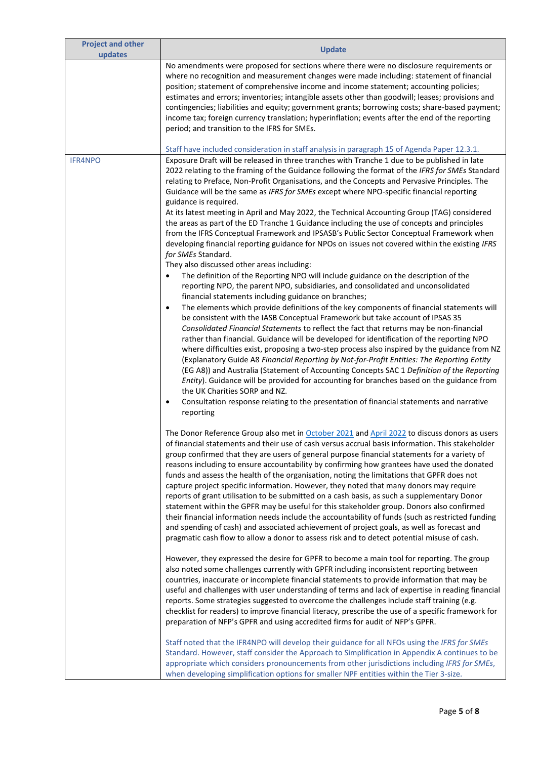| <b>Project and other</b><br>updates | <b>Update</b>                                                                                                                                                                                                                                                                                                                                                                                                                                                                                                                                                                                                                                                                                                                                                                                                                                                                                                                                                                                                                                                                                                                                                                                                                                                                                                                                                                                                                                                                                                                                                                                                                                                                                                                                                                                                                                                                                                                                                                                                                                                                                                                                                                       |
|-------------------------------------|-------------------------------------------------------------------------------------------------------------------------------------------------------------------------------------------------------------------------------------------------------------------------------------------------------------------------------------------------------------------------------------------------------------------------------------------------------------------------------------------------------------------------------------------------------------------------------------------------------------------------------------------------------------------------------------------------------------------------------------------------------------------------------------------------------------------------------------------------------------------------------------------------------------------------------------------------------------------------------------------------------------------------------------------------------------------------------------------------------------------------------------------------------------------------------------------------------------------------------------------------------------------------------------------------------------------------------------------------------------------------------------------------------------------------------------------------------------------------------------------------------------------------------------------------------------------------------------------------------------------------------------------------------------------------------------------------------------------------------------------------------------------------------------------------------------------------------------------------------------------------------------------------------------------------------------------------------------------------------------------------------------------------------------------------------------------------------------------------------------------------------------------------------------------------------------|
|                                     | No amendments were proposed for sections where there were no disclosure requirements or<br>where no recognition and measurement changes were made including: statement of financial<br>position; statement of comprehensive income and income statement; accounting policies;<br>estimates and errors; inventories; intangible assets other than goodwill; leases; provisions and<br>contingencies; liabilities and equity; government grants; borrowing costs; share-based payment;<br>income tax; foreign currency translation; hyperinflation; events after the end of the reporting<br>period; and transition to the IFRS for SMEs.<br>Staff have included consideration in staff analysis in paragraph 15 of Agenda Paper 12.3.1.                                                                                                                                                                                                                                                                                                                                                                                                                                                                                                                                                                                                                                                                                                                                                                                                                                                                                                                                                                                                                                                                                                                                                                                                                                                                                                                                                                                                                                              |
| <b>IFR4NPO</b>                      | Exposure Draft will be released in three tranches with Tranche 1 due to be published in late                                                                                                                                                                                                                                                                                                                                                                                                                                                                                                                                                                                                                                                                                                                                                                                                                                                                                                                                                                                                                                                                                                                                                                                                                                                                                                                                                                                                                                                                                                                                                                                                                                                                                                                                                                                                                                                                                                                                                                                                                                                                                        |
|                                     | 2022 relating to the framing of the Guidance following the format of the IFRS for SMEs Standard<br>relating to Preface, Non-Profit Organisations, and the Concepts and Pervasive Principles. The<br>Guidance will be the same as IFRS for SMEs except where NPO-specific financial reporting<br>guidance is required.<br>At its latest meeting in April and May 2022, the Technical Accounting Group (TAG) considered<br>the areas as part of the ED Tranche 1 Guidance including the use of concepts and principles<br>from the IFRS Conceptual Framework and IPSASB's Public Sector Conceptual Framework when<br>developing financial reporting guidance for NPOs on issues not covered within the existing IFRS<br>for SMEs Standard.<br>They also discussed other areas including:<br>The definition of the Reporting NPO will include guidance on the description of the<br>reporting NPO, the parent NPO, subsidiaries, and consolidated and unconsolidated<br>financial statements including guidance on branches;<br>The elements which provide definitions of the key components of financial statements will<br>$\bullet$<br>be consistent with the IASB Conceptual Framework but take account of IPSAS 35<br>Consolidated Financial Statements to reflect the fact that returns may be non-financial<br>rather than financial. Guidance will be developed for identification of the reporting NPO<br>where difficulties exist, proposing a two-step process also inspired by the guidance from NZ<br>(Explanatory Guide A8 Financial Reporting by Not-for-Profit Entities: The Reporting Entity<br>(EG A8)) and Australia (Statement of Accounting Concepts SAC 1 Definition of the Reporting<br>Entity). Guidance will be provided for accounting for branches based on the guidance from<br>the UK Charities SORP and NZ.<br>Consultation response relating to the presentation of financial statements and narrative<br>$\bullet$                                                                                                                                                                                                                                     |
|                                     | reporting<br>The Donor Reference Group also met in October 2021 and April 2022 to discuss donors as users<br>of financial statements and their use of cash versus accrual basis information. This stakeholder<br>group confirmed that they are users of general purpose financial statements for a variety of<br>reasons including to ensure accountability by confirming how grantees have used the donated<br>funds and assess the health of the organisation, noting the limitations that GPFR does not<br>capture project specific information. However, they noted that many donors may require<br>reports of grant utilisation to be submitted on a cash basis, as such a supplementary Donor<br>statement within the GPFR may be useful for this stakeholder group. Donors also confirmed<br>their financial information needs include the accountability of funds (such as restricted funding<br>and spending of cash) and associated achievement of project goals, as well as forecast and<br>pragmatic cash flow to allow a donor to assess risk and to detect potential misuse of cash.<br>However, they expressed the desire for GPFR to become a main tool for reporting. The group<br>also noted some challenges currently with GPFR including inconsistent reporting between<br>countries, inaccurate or incomplete financial statements to provide information that may be<br>useful and challenges with user understanding of terms and lack of expertise in reading financial<br>reports. Some strategies suggested to overcome the challenges include staff training (e.g.<br>checklist for readers) to improve financial literacy, prescribe the use of a specific framework for<br>preparation of NFP's GPFR and using accredited firms for audit of NFP's GPFR.<br>Staff noted that the IFR4NPO will develop their guidance for all NFOs using the IFRS for SMEs<br>Standard. However, staff consider the Approach to Simplification in Appendix A continues to be<br>appropriate which considers pronouncements from other jurisdictions including IFRS for SMEs,<br>when developing simplification options for smaller NPF entities within the Tier 3-size. |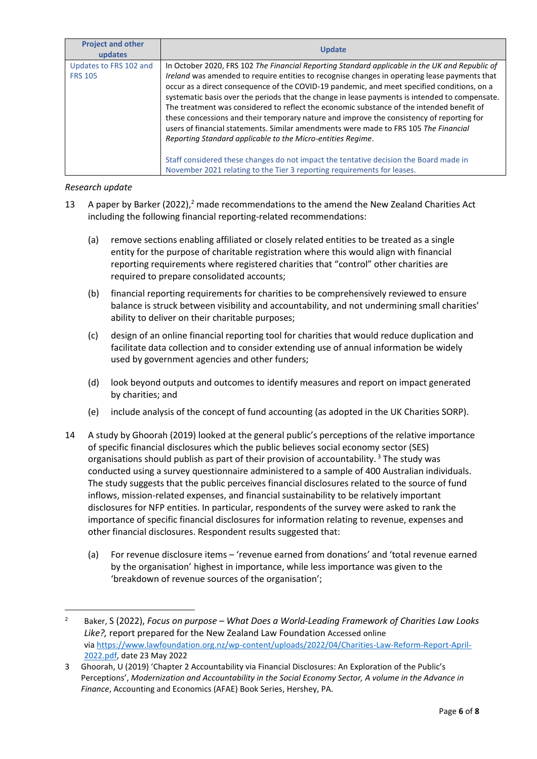| <b>Project and other</b><br>updates      | <b>Update</b>                                                                                                                                                                                                                                                                                                                                                                                                                                                                                                                                                                                                                                                                                                                                     |
|------------------------------------------|---------------------------------------------------------------------------------------------------------------------------------------------------------------------------------------------------------------------------------------------------------------------------------------------------------------------------------------------------------------------------------------------------------------------------------------------------------------------------------------------------------------------------------------------------------------------------------------------------------------------------------------------------------------------------------------------------------------------------------------------------|
| Updates to FRS 102 and<br><b>FRS 105</b> | In October 2020, FRS 102 The Financial Reporting Standard applicable in the UK and Republic of<br>Ireland was amended to require entities to recognise changes in operating lease payments that<br>occur as a direct consequence of the COVID-19 pandemic, and meet specified conditions, on a<br>systematic basis over the periods that the change in lease payments is intended to compensate.<br>The treatment was considered to reflect the economic substance of the intended benefit of<br>these concessions and their temporary nature and improve the consistency of reporting for<br>users of financial statements. Similar amendments were made to FRS 105 The Financial<br>Reporting Standard applicable to the Micro-entities Regime. |
|                                          | Staff considered these changes do not impact the tentative decision the Board made in<br>November 2021 relating to the Tier 3 reporting requirements for leases.                                                                                                                                                                                                                                                                                                                                                                                                                                                                                                                                                                                  |

*Research update*

- 13 A paper by Barker (2022),<sup>2</sup> made recommendations to the amend the New Zealand Charities Act including the following financial reporting-related recommendations:
	- (a) remove sections enabling affiliated or closely related entities to be treated as a single entity for the purpose of charitable registration where this would align with financial reporting requirements where registered charities that "control" other charities are required to prepare consolidated accounts;
	- (b) financial reporting requirements for charities to be comprehensively reviewed to ensure balance is struck between visibility and accountability, and not undermining small charities' ability to deliver on their charitable purposes;
	- (c) design of an online financial reporting tool for charities that would reduce duplication and facilitate data collection and to consider extending use of annual information be widely used by government agencies and other funders;
	- (d) look beyond outputs and outcomes to identify measures and report on impact generated by charities; and
	- (e) include analysis of the concept of fund accounting (as adopted in the UK Charities SORP).
- 14 A study by Ghoorah (2019) looked at the general public's perceptions of the relative importance of specific financial disclosures which the public believes social economy sector (SES) organisations should publish as part of their provision of accountability.<sup>3</sup> The study was conducted using a survey questionnaire administered to a sample of 400 Australian individuals. The study suggests that the public perceives financial disclosures related to the source of fund inflows, mission-related expenses, and financial sustainability to be relatively important disclosures for NFP entities. In particular, respondents of the survey were asked to rank the importance of specific financial disclosures for information relating to revenue, expenses and other financial disclosures. Respondent results suggested that:
	- (a) For revenue disclosure items 'revenue earned from donations' and 'total revenue earned by the organisation' highest in importance, while less importance was given to the 'breakdown of revenue sources of the organisation';

<sup>2</sup> Baker, S (2022), *Focus on purpose – What Does a World-Leading Framework of Charities Law Looks Like?,* report prepared for the New Zealand Law Foundation Accessed online via [https://www.lawfoundation.org.nz/wp-content/uploads/2022/04/Charities-Law-Reform-Report-April-](https://www.lawfoundation.org.nz/wp-content/uploads/2022/04/Charities-Law-Reform-Report-April-2022.pdf)[2022.pdf,](https://www.lawfoundation.org.nz/wp-content/uploads/2022/04/Charities-Law-Reform-Report-April-2022.pdf) date 23 May 2022

<sup>3</sup> Ghoorah, U (2019) 'Chapter 2 Accountability via Financial Disclosures: An Exploration of the Public's Perceptions', *Modernization and Accountability in the Social Economy Sector, A volume in the Advance in Finance*, Accounting and Economics (AFAE) Book Series, Hershey, PA.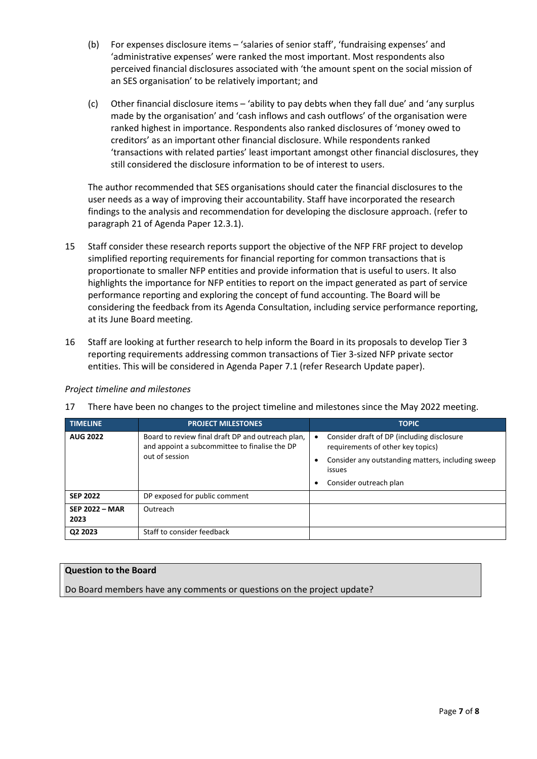- (b) For expenses disclosure items 'salaries of senior staff', 'fundraising expenses' and 'administrative expenses' were ranked the most important. Most respondents also perceived financial disclosures associated with 'the amount spent on the social mission of an SES organisation' to be relatively important; and
- (c) Other financial disclosure items 'ability to pay debts when they fall due' and 'any surplus made by the organisation' and 'cash inflows and cash outflows' of the organisation were ranked highest in importance. Respondents also ranked disclosures of 'money owed to creditors' as an important other financial disclosure. While respondents ranked 'transactions with related parties' least important amongst other financial disclosures, they still considered the disclosure information to be of interest to users.

The author recommended that SES organisations should cater the financial disclosures to the user needs as a way of improving their accountability. Staff have incorporated the research findings to the analysis and recommendation for developing the disclosure approach. (refer to paragraph 21 of Agenda Paper 12.3.1).

- 15 Staff consider these research reports support the objective of the NFP FRF project to develop simplified reporting requirements for financial reporting for common transactions that is proportionate to smaller NFP entities and provide information that is useful to users. It also highlights the importance for NFP entities to report on the impact generated as part of service performance reporting and exploring the concept of fund accounting. The Board will be considering the feedback from its Agenda Consultation, including service performance reporting, at its June Board meeting.
- 16 Staff are looking at further research to help inform the Board in its proposals to develop Tier 3 reporting requirements addressing common transactions of Tier 3-sized NFP private sector entities. This will be considered in Agenda Paper 7.1 (refer Research Update paper).

## *Project timeline and milestones*

17 There have been no changes to the project timeline and milestones since the May 2022 meeting.

| <b>TIMELINE</b>               | <b>PROJECT MILESTONES</b>                                                                                            | <b>TOPIC</b>                                                                                                                                                                  |
|-------------------------------|----------------------------------------------------------------------------------------------------------------------|-------------------------------------------------------------------------------------------------------------------------------------------------------------------------------|
| <b>AUG 2022</b>               | Board to review final draft DP and outreach plan,<br>and appoint a subcommittee to finalise the DP<br>out of session | Consider draft of DP (including disclosure<br>٠<br>requirements of other key topics)<br>Consider any outstanding matters, including sweep<br>issues<br>Consider outreach plan |
| <b>SEP 2022</b>               | DP exposed for public comment                                                                                        |                                                                                                                                                                               |
| <b>SEP 2022 - MAR</b><br>2023 | Outreach                                                                                                             |                                                                                                                                                                               |
| Q2 2023                       | Staff to consider feedback                                                                                           |                                                                                                                                                                               |

### **Question to the Board**

Do Board members have any comments or questions on the project update?